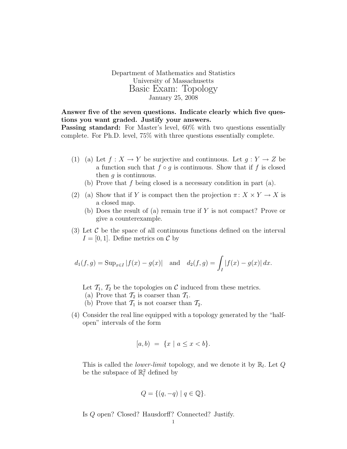Department of Mathematics and Statistics University of Massachusetts Basic Exam: Topology January 25, 2008

## Answer five of the seven questions. Indicate clearly which five questions you want graded. Justify your answers.

Passing standard: For Master's level,  $60\%$  with two questions essentially complete. For Ph.D. level, 75% with three questions essentially complete.

- (1) (a) Let  $f: X \to Y$  be surjective and continuous. Let  $g: Y \to Z$  be a function such that  $f \circ g$  is continuous. Show that if f is closed then  $q$  is continuous.
	- (b) Prove that  $f$  being closed is a necessary condition in part  $(a)$ .
- (2) (a) Show that if Y is compact then the projection  $\pi: X \times Y \to X$  is a closed map.
	- (b) Does the result of (a) remain true if Y is not compact? Prove or give a counterexample.
- (3) Let  $\mathcal C$  be the space of all continuous functions defined on the interval  $I = [0, 1]$ . Define metrics on C by

$$
d_1(f,g) = \text{Sup}_{x \in I} |f(x) - g(x)|
$$
 and  $d_2(f,g) = \int_I |f(x) - g(x)| dx$ .

Let  $\mathcal{T}_1$ ,  $\mathcal{T}_2$  be the topologies on C induced from these metrics.

- (a) Prove that  $\mathcal{T}_2$  is coarser than  $\mathcal{T}_1$ .
- (b) Prove that  $\mathcal{T}_1$  is not coarser than  $\mathcal{T}_2$ .
- (4) Consider the real line equipped with a topology generated by the "halfopen" intervals of the form

$$
[a, b) = \{x \mid a \le x < b\}.
$$

This is called the *lower-limit* topology, and we denote it by  $\mathbb{R}_l$ . Let  $Q$ be the subspace of  $\mathbb{R}^2_l$  defined by

$$
Q = \{ (q, -q) \mid q \in \mathbb{Q} \}.
$$

Is Q open? Closed? Hausdorff? Connected? Justify.